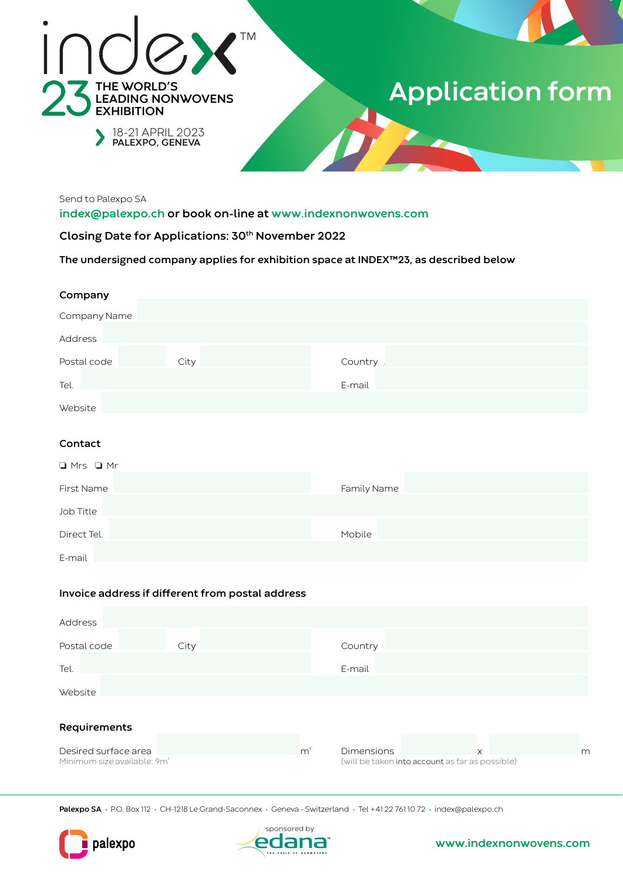

# **Application form**

Send to Palexpo SA

index@palexpo.ch or book on-line at www.indexnonwovens.com

Closing Date for Applications: 30<sup>th</sup> November 2022

The undersigned company applies for exhibition space at INDEX™23, as described below

| Company      |      |         |  |
|--------------|------|---------|--|
|              |      |         |  |
| Company Name |      |         |  |
|              |      |         |  |
| Address      |      |         |  |
|              |      |         |  |
| Postal code  | City | Country |  |
|              |      |         |  |
| Tel.         |      | E-mail  |  |
|              |      |         |  |
| Website      |      |         |  |

## Contact

| $\Box$ Mrs $\Box$ Mr |             |
|----------------------|-------------|
| First Name           | Family Name |
| Job Title            |             |
| Direct Tel.          | Mobile      |
| F-mail               |             |

## Invoice address if different from postal address

| Address                                 |      |  |                |                                                 |  |          |   |
|-----------------------------------------|------|--|----------------|-------------------------------------------------|--|----------|---|
| Postal code                             | City |  |                | Country                                         |  |          |   |
| Tel.                                    |      |  |                | E-mail                                          |  |          |   |
|                                         |      |  |                |                                                 |  |          |   |
| Website                                 |      |  |                |                                                 |  |          |   |
| Requirements                            |      |  |                |                                                 |  |          |   |
| Desired surface area                    |      |  | m <sup>2</sup> | <b>Dimensions</b>                               |  | $\times$ | m |
| Minimum size available: 9m <sup>2</sup> |      |  |                | (will be taken into account as far as possible) |  |          |   |

Palexpo SA · P.O. Box 112 · CH-1218 Le Grand-Saconnex · Geneva - Switzerland · Tel +41 22 761 10 72 · index@palexpo.ch